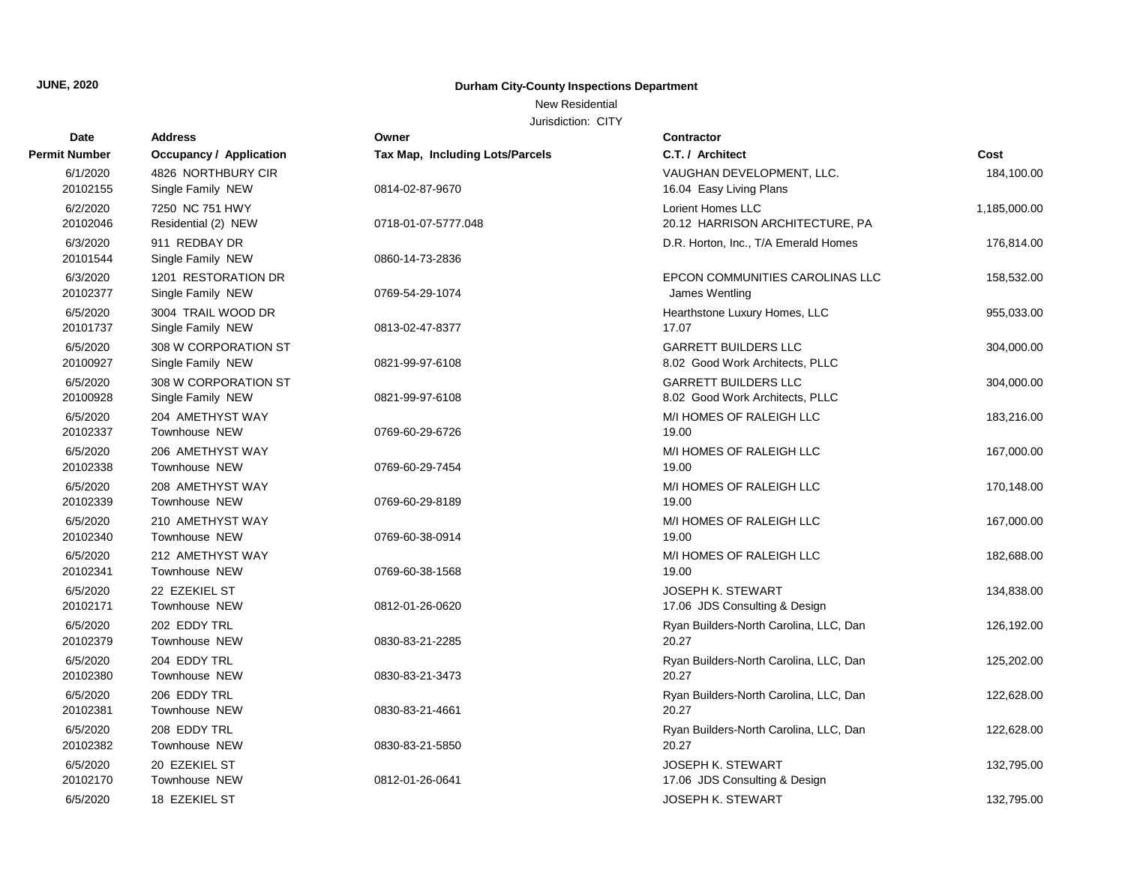New Residential

| Date                 | <b>Address</b>                            | Owner                                  | <b>Contractor</b>                                              |              |
|----------------------|-------------------------------------------|----------------------------------------|----------------------------------------------------------------|--------------|
| <b>Permit Number</b> | Occupancy / Application                   | <b>Tax Map, Including Lots/Parcels</b> | C.T. / Architect                                               | Cost         |
| 6/1/2020<br>20102155 | 4826 NORTHBURY CIR<br>Single Family NEW   | 0814-02-87-9670                        | VAUGHAN DEVELOPMENT, LLC.<br>16.04 Easy Living Plans           | 184,100.00   |
| 6/2/2020<br>20102046 | 7250 NC 751 HWY<br>Residential (2) NEW    | 0718-01-07-5777.048                    | Lorient Homes LLC<br>20.12 HARRISON ARCHITECTURE, PA           | 1,185,000.00 |
| 6/3/2020<br>20101544 | 911 REDBAY DR<br>Single Family NEW        | 0860-14-73-2836                        | D.R. Horton, Inc., T/A Emerald Homes                           | 176,814.00   |
| 6/3/2020<br>20102377 | 1201 RESTORATION DR<br>Single Family NEW  | 0769-54-29-1074                        | EPCON COMMUNITIES CAROLINAS LLC<br>James Wentling              | 158,532.00   |
| 6/5/2020<br>20101737 | 3004 TRAIL WOOD DR<br>Single Family NEW   | 0813-02-47-8377                        | Hearthstone Luxury Homes, LLC<br>17.07                         | 955,033.00   |
| 6/5/2020<br>20100927 | 308 W CORPORATION ST<br>Single Family NEW | 0821-99-97-6108                        | <b>GARRETT BUILDERS LLC</b><br>8.02 Good Work Architects, PLLC | 304,000.00   |
| 6/5/2020<br>20100928 | 308 W CORPORATION ST<br>Single Family NEW | 0821-99-97-6108                        | <b>GARRETT BUILDERS LLC</b><br>8.02 Good Work Architects, PLLC | 304,000.00   |
| 6/5/2020<br>20102337 | 204 AMETHYST WAY<br>Townhouse NEW         | 0769-60-29-6726                        | M/I HOMES OF RALEIGH LLC<br>19.00                              | 183,216.00   |
| 6/5/2020<br>20102338 | 206 AMETHYST WAY<br><b>Townhouse NEW</b>  | 0769-60-29-7454                        | M/I HOMES OF RALEIGH LLC<br>19.00                              | 167,000.00   |
| 6/5/2020<br>20102339 | 208 AMETHYST WAY<br><b>Townhouse NEW</b>  | 0769-60-29-8189                        | M/I HOMES OF RALEIGH LLC<br>19.00                              | 170,148.00   |
| 6/5/2020<br>20102340 | 210 AMETHYST WAY<br>Townhouse NEW         | 0769-60-38-0914                        | M/I HOMES OF RALEIGH LLC<br>19.00                              | 167,000.00   |
| 6/5/2020<br>20102341 | 212 AMETHYST WAY<br>Townhouse NEW         | 0769-60-38-1568                        | M/I HOMES OF RALEIGH LLC<br>19.00                              | 182,688.00   |
| 6/5/2020<br>20102171 | 22 EZEKIEL ST<br>Townhouse NEW            | 0812-01-26-0620                        | <b>JOSEPH K. STEWART</b><br>17.06 JDS Consulting & Design      | 134,838.00   |
| 6/5/2020<br>20102379 | 202 EDDY TRL<br>Townhouse NEW             | 0830-83-21-2285                        | Ryan Builders-North Carolina, LLC, Dan<br>20.27                | 126,192.00   |
| 6/5/2020<br>20102380 | 204 EDDY TRL<br>Townhouse NEW             | 0830-83-21-3473                        | Ryan Builders-North Carolina, LLC, Dan<br>20.27                | 125,202.00   |
| 6/5/2020<br>20102381 | 206 EDDY TRL<br>Townhouse NEW             | 0830-83-21-4661                        | Ryan Builders-North Carolina, LLC, Dan<br>20.27                | 122,628.00   |
| 6/5/2020<br>20102382 | 208 EDDY TRL<br>Townhouse NEW             | 0830-83-21-5850                        | Ryan Builders-North Carolina, LLC, Dan<br>20.27                | 122,628.00   |
| 6/5/2020<br>20102170 | 20 EZEKIEL ST<br>Townhouse NEW            | 0812-01-26-0641                        | <b>JOSEPH K. STEWART</b><br>17.06 JDS Consulting & Design      | 132,795.00   |
| 6/5/2020             | 18 EZEKIEL ST                             |                                        | <b>JOSEPH K. STEWART</b>                                       | 132,795.00   |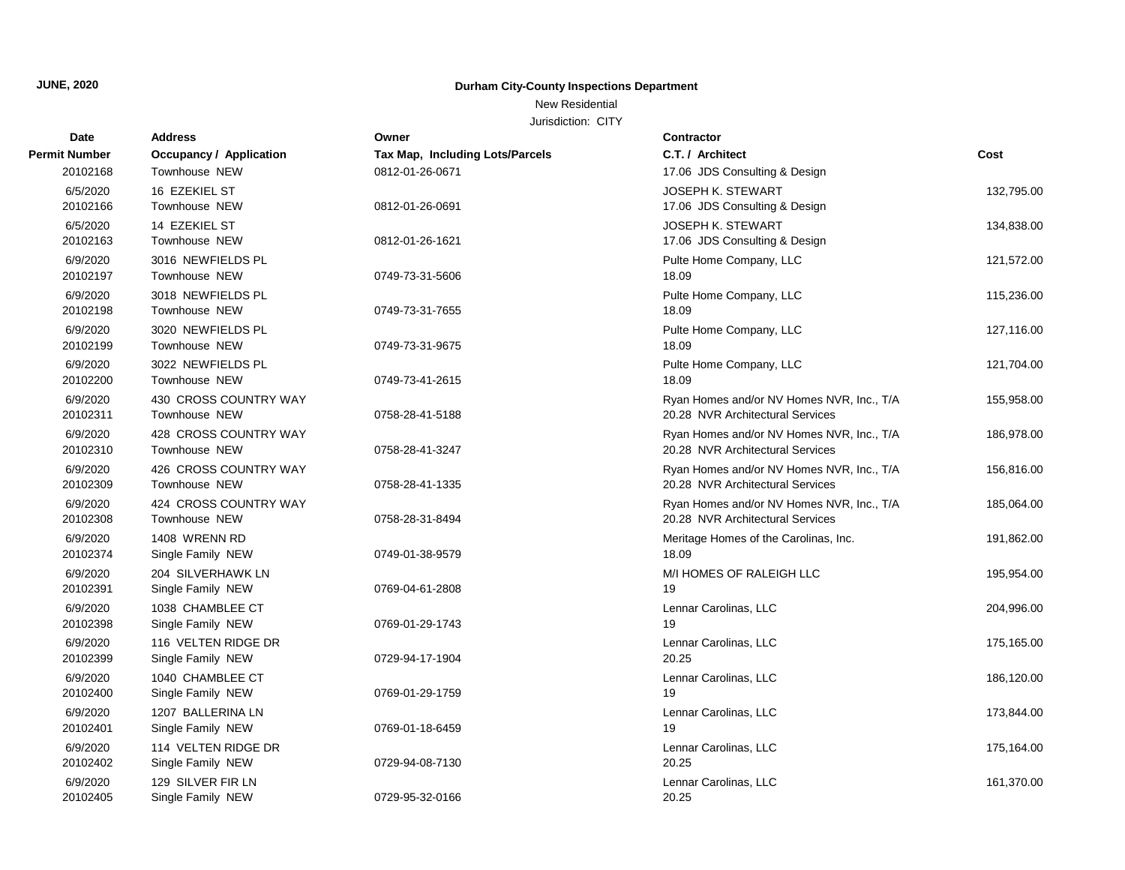New Residential

| <b>Date</b>          | <b>Address</b>                 | Owner                                  | <b>Contractor</b>                         |            |
|----------------------|--------------------------------|----------------------------------------|-------------------------------------------|------------|
| <b>Permit Number</b> | <b>Occupancy / Application</b> | <b>Tax Map, Including Lots/Parcels</b> | C.T. / Architect                          | Cost       |
| 20102168             | Townhouse NEW                  | 0812-01-26-0671                        | 17.06 JDS Consulting & Design             |            |
| 6/5/2020             | 16 EZEKIEL ST                  |                                        | <b>JOSEPH K. STEWART</b>                  | 132,795.00 |
| 20102166             | Townhouse NEW                  | 0812-01-26-0691                        | 17.06 JDS Consulting & Design             |            |
| 6/5/2020             | 14 EZEKIEL ST                  |                                        | <b>JOSEPH K. STEWART</b>                  | 134,838.00 |
| 20102163             | Townhouse NEW                  | 0812-01-26-1621                        | 17.06 JDS Consulting & Design             |            |
| 6/9/2020             | 3016 NEWFIELDS PL              |                                        | Pulte Home Company, LLC                   | 121,572.00 |
| 20102197             | <b>Townhouse NEW</b>           | 0749-73-31-5606                        | 18.09                                     |            |
| 6/9/2020             | 3018 NEWFIELDS PL              |                                        | Pulte Home Company, LLC                   | 115,236.00 |
| 20102198             | Townhouse NEW                  | 0749-73-31-7655                        | 18.09                                     |            |
| 6/9/2020             | 3020 NEWFIELDS PL              |                                        | Pulte Home Company, LLC                   | 127,116.00 |
| 20102199             | Townhouse NEW                  | 0749-73-31-9675                        | 18.09                                     |            |
| 6/9/2020             | 3022 NEWFIELDS PL              |                                        | Pulte Home Company, LLC                   | 121,704.00 |
| 20102200             | <b>Townhouse NEW</b>           | 0749-73-41-2615                        | 18.09                                     |            |
| 6/9/2020             | 430 CROSS COUNTRY WAY          |                                        | Ryan Homes and/or NV Homes NVR, Inc., T/A | 155,958.00 |
| 20102311             | Townhouse NEW                  | 0758-28-41-5188                        | 20.28 NVR Architectural Services          |            |
| 6/9/2020             | 428 CROSS COUNTRY WAY          |                                        | Ryan Homes and/or NV Homes NVR, Inc., T/A | 186,978.00 |
| 20102310             | Townhouse NEW                  | 0758-28-41-3247                        | 20.28 NVR Architectural Services          |            |
| 6/9/2020             | 426 CROSS COUNTRY WAY          |                                        | Ryan Homes and/or NV Homes NVR, Inc., T/A | 156,816.00 |
| 20102309             | <b>Townhouse NEW</b>           | 0758-28-41-1335                        | 20.28 NVR Architectural Services          |            |
| 6/9/2020             | 424 CROSS COUNTRY WAY          |                                        | Ryan Homes and/or NV Homes NVR, Inc., T/A | 185,064.00 |
| 20102308             | Townhouse NEW                  | 0758-28-31-8494                        | 20.28 NVR Architectural Services          |            |
| 6/9/2020             | 1408 WRENN RD                  |                                        | Meritage Homes of the Carolinas, Inc.     | 191,862.00 |
| 20102374             | Single Family NEW              | 0749-01-38-9579                        | 18.09                                     |            |
| 6/9/2020             | 204 SILVERHAWK LN              |                                        | M/I HOMES OF RALEIGH LLC                  | 195,954.00 |
| 20102391             | Single Family NEW              | 0769-04-61-2808                        | 19                                        |            |
| 6/9/2020             | 1038 CHAMBLEE CT               |                                        | Lennar Carolinas, LLC                     | 204,996.00 |
| 20102398             | Single Family NEW              | 0769-01-29-1743                        | 19                                        |            |
| 6/9/2020             | 116 VELTEN RIDGE DR            |                                        | Lennar Carolinas, LLC                     | 175,165.00 |
| 20102399             | Single Family NEW              | 0729-94-17-1904                        | 20.25                                     |            |
| 6/9/2020             | 1040 CHAMBLEE CT               |                                        | Lennar Carolinas, LLC                     | 186,120.00 |
| 20102400             | Single Family NEW              | 0769-01-29-1759                        | 19                                        |            |
| 6/9/2020             | 1207 BALLERINA LN              |                                        | Lennar Carolinas, LLC                     | 173,844.00 |
| 20102401             | Single Family NEW              | 0769-01-18-6459                        | 19                                        |            |
| 6/9/2020             | 114 VELTEN RIDGE DR            |                                        | Lennar Carolinas, LLC                     | 175,164.00 |
| 20102402             | Single Family NEW              | 0729-94-08-7130                        | 20.25                                     |            |
| 6/9/2020             | 129 SILVER FIR LN              |                                        | Lennar Carolinas, LLC                     | 161,370.00 |
| 20102405             | Single Family NEW              | 0729-95-32-0166                        | 20.25                                     |            |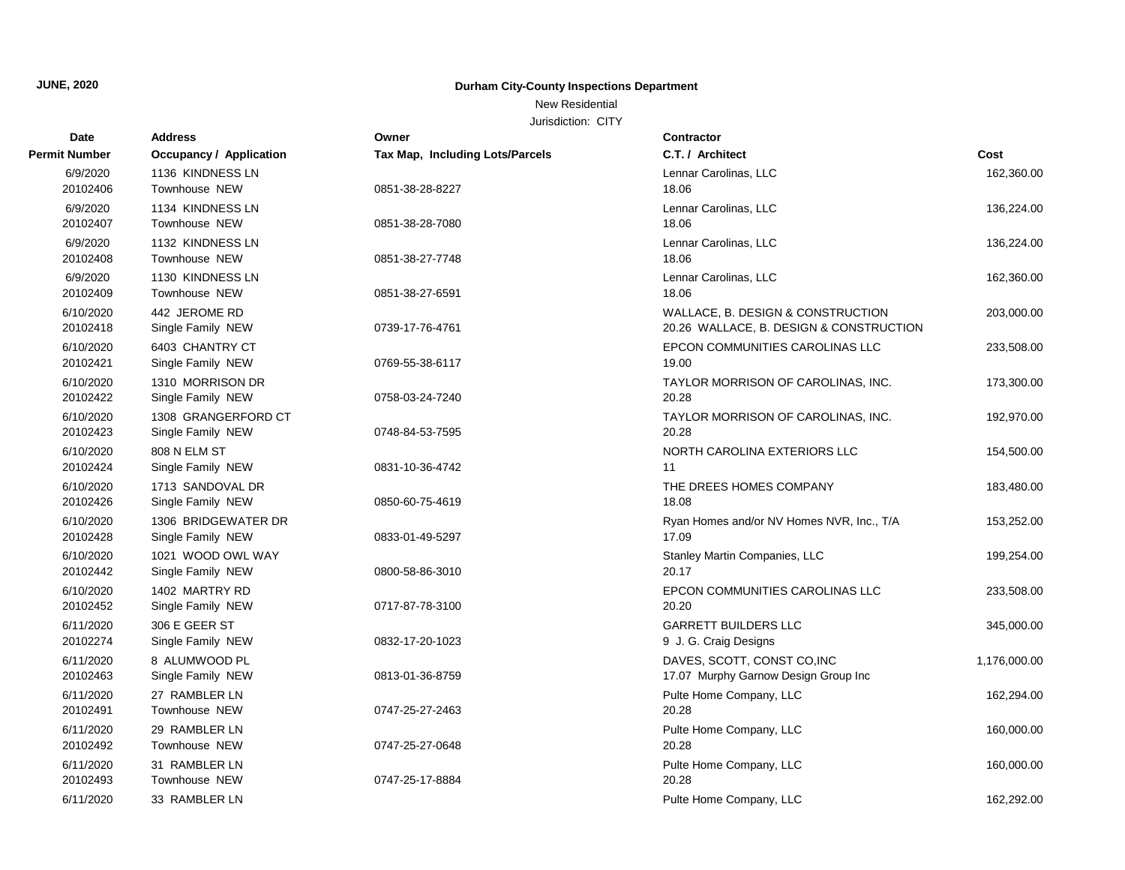New Residential

| <b>Date</b>           | <b>Address</b>                           | Owner                           | Contractor                                                                   |              |
|-----------------------|------------------------------------------|---------------------------------|------------------------------------------------------------------------------|--------------|
| <b>Permit Number</b>  | <b>Occupancy / Application</b>           | Tax Map, Including Lots/Parcels | C.T. / Architect                                                             | Cost         |
| 6/9/2020<br>20102406  | 1136 KINDNESS LN<br>Townhouse NEW        | 0851-38-28-8227                 | Lennar Carolinas, LLC<br>18.06                                               | 162,360.00   |
| 6/9/2020<br>20102407  | 1134 KINDNESS LN<br>Townhouse NEW        | 0851-38-28-7080                 | Lennar Carolinas, LLC<br>18.06                                               | 136,224.00   |
| 6/9/2020<br>20102408  | 1132 KINDNESS LN<br>Townhouse NEW        | 0851-38-27-7748                 | Lennar Carolinas, LLC<br>18.06                                               | 136,224.00   |
| 6/9/2020<br>20102409  | 1130 KINDNESS LN<br>Townhouse NEW        | 0851-38-27-6591                 | Lennar Carolinas, LLC<br>18.06                                               | 162,360.00   |
| 6/10/2020<br>20102418 | 442 JEROME RD<br>Single Family NEW       | 0739-17-76-4761                 | WALLACE, B. DESIGN & CONSTRUCTION<br>20.26 WALLACE, B. DESIGN & CONSTRUCTION | 203,000.00   |
| 6/10/2020<br>20102421 | 6403 CHANTRY CT<br>Single Family NEW     | 0769-55-38-6117                 | EPCON COMMUNITIES CAROLINAS LLC<br>19.00                                     | 233,508.00   |
| 6/10/2020<br>20102422 | 1310 MORRISON DR<br>Single Family NEW    | 0758-03-24-7240                 | TAYLOR MORRISON OF CAROLINAS, INC.<br>20.28                                  | 173,300.00   |
| 6/10/2020<br>20102423 | 1308 GRANGERFORD CT<br>Single Family NEW | 0748-84-53-7595                 | TAYLOR MORRISON OF CAROLINAS, INC.<br>20.28                                  | 192,970.00   |
| 6/10/2020<br>20102424 | 808 N ELM ST<br>Single Family NEW        | 0831-10-36-4742                 | NORTH CAROLINA EXTERIORS LLC<br>11                                           | 154,500.00   |
| 6/10/2020<br>20102426 | 1713 SANDOVAL DR<br>Single Family NEW    | 0850-60-75-4619                 | THE DREES HOMES COMPANY<br>18.08                                             | 183,480.00   |
| 6/10/2020<br>20102428 | 1306 BRIDGEWATER DR<br>Single Family NEW | 0833-01-49-5297                 | Ryan Homes and/or NV Homes NVR, Inc., T/A<br>17.09                           | 153,252.00   |
| 6/10/2020<br>20102442 | 1021 WOOD OWL WAY<br>Single Family NEW   | 0800-58-86-3010                 | Stanley Martin Companies, LLC<br>20.17                                       | 199,254.00   |
| 6/10/2020<br>20102452 | 1402 MARTRY RD<br>Single Family NEW      | 0717-87-78-3100                 | EPCON COMMUNITIES CAROLINAS LLC<br>20.20                                     | 233,508.00   |
| 6/11/2020<br>20102274 | 306 E GEER ST<br>Single Family NEW       | 0832-17-20-1023                 | <b>GARRETT BUILDERS LLC</b><br>9 J. G. Craig Designs                         | 345,000.00   |
| 6/11/2020<br>20102463 | 8 ALUMWOOD PL<br>Single Family NEW       | 0813-01-36-8759                 | DAVES, SCOTT, CONST CO, INC<br>17.07 Murphy Garnow Design Group Inc          | 1,176,000.00 |
| 6/11/2020<br>20102491 | 27 RAMBLER LN<br>Townhouse NEW           | 0747-25-27-2463                 | Pulte Home Company, LLC<br>20.28                                             | 162,294.00   |
| 6/11/2020<br>20102492 | 29 RAMBLER LN<br>Townhouse NEW           | 0747-25-27-0648                 | Pulte Home Company, LLC<br>20.28                                             | 160,000.00   |
| 6/11/2020<br>20102493 | 31 RAMBLER LN<br>Townhouse NEW           | 0747-25-17-8884                 | Pulte Home Company, LLC<br>20.28                                             | 160,000.00   |
| 6/11/2020             | 33 RAMBLER LN                            |                                 | Pulte Home Company, LLC                                                      | 162,292.00   |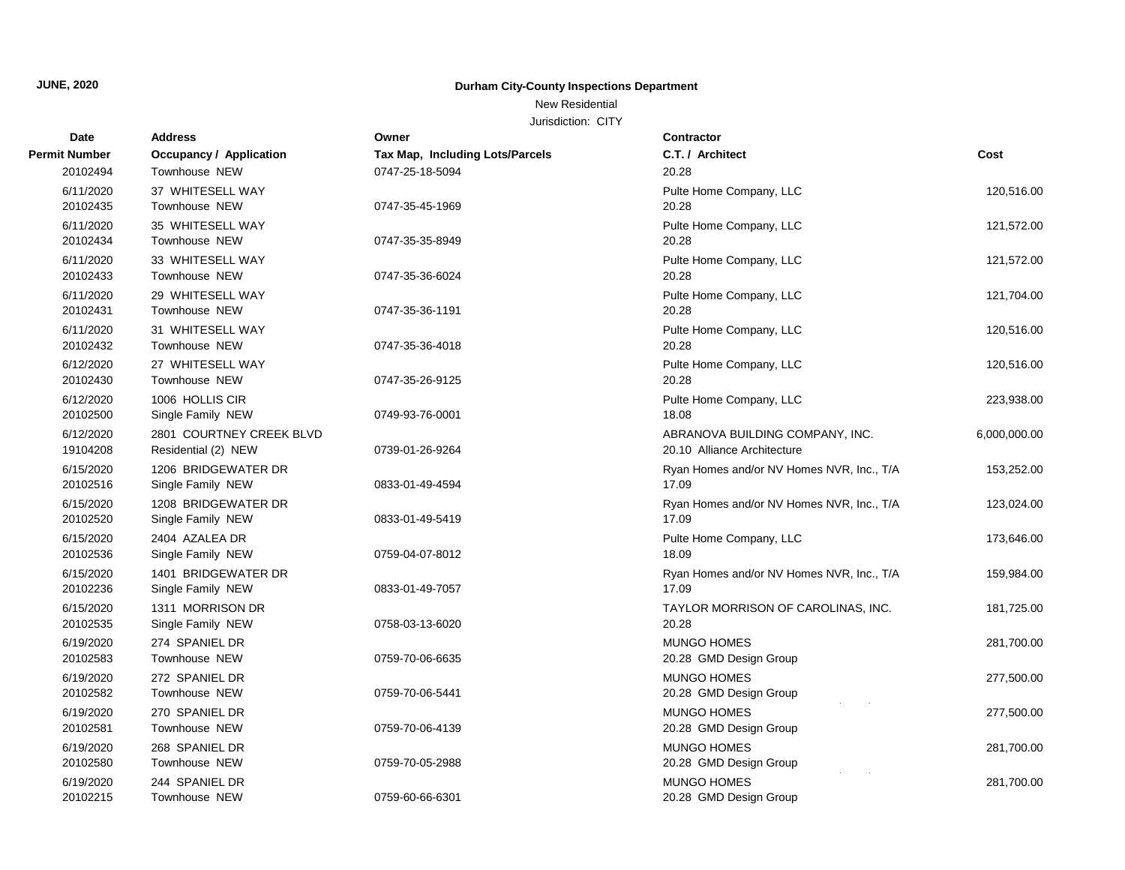#### New Residential

| Date                  | <b>Address</b>                                  | Owner                           | Contractor                                                     |              |
|-----------------------|-------------------------------------------------|---------------------------------|----------------------------------------------------------------|--------------|
| <b>Permit Number</b>  | <b>Occupancy / Application</b>                  | Tax Map, Including Lots/Parcels | C.T. / Architect                                               | Cost         |
| 20102494              | Townhouse NEW                                   | 0747-25-18-5094                 | 20.28                                                          |              |
| 6/11/2020<br>20102435 | 37 WHITESELL WAY<br>Townhouse NEW               | 0747-35-45-1969                 | Pulte Home Company, LLC<br>20.28                               | 120,516.00   |
| 6/11/2020<br>20102434 | 35 WHITESELL WAY<br>Townhouse NEW               | 0747-35-35-8949                 | Pulte Home Company, LLC<br>20.28                               | 121,572.00   |
| 6/11/2020<br>20102433 | 33 WHITESELL WAY<br>Townhouse NEW               | 0747-35-36-6024                 | Pulte Home Company, LLC<br>20.28                               | 121,572.00   |
| 6/11/2020<br>20102431 | 29 WHITESELL WAY<br>Townhouse NEW               | 0747-35-36-1191                 | Pulte Home Company, LLC<br>20.28                               | 121,704.00   |
| 6/11/2020<br>20102432 | 31 WHITESELL WAY<br>Townhouse NEW               | 0747-35-36-4018                 | Pulte Home Company, LLC<br>20.28                               | 120,516.00   |
| 6/12/2020<br>20102430 | 27 WHITESELL WAY<br>Townhouse NEW               | 0747-35-26-9125                 | Pulte Home Company, LLC<br>20.28                               | 120,516.00   |
| 6/12/2020<br>20102500 | 1006 HOLLIS CIR<br>Single Family NEW            | 0749-93-76-0001                 | Pulte Home Company, LLC<br>18.08                               | 223,938.00   |
| 6/12/2020<br>19104208 | 2801 COURTNEY CREEK BLVD<br>Residential (2) NEW | 0739-01-26-9264                 | ABRANOVA BUILDING COMPANY, INC.<br>20.10 Alliance Architecture | 6,000,000.00 |
| 6/15/2020<br>20102516 | 1206 BRIDGEWATER DR<br>Single Family NEW        | 0833-01-49-4594                 | Ryan Homes and/or NV Homes NVR, Inc., T/A<br>17.09             | 153,252.00   |
| 6/15/2020<br>20102520 | 1208 BRIDGEWATER DR<br>Single Family NEW        | 0833-01-49-5419                 | Ryan Homes and/or NV Homes NVR, Inc., T/A<br>17.09             | 123,024.00   |
| 6/15/2020<br>20102536 | 2404 AZALEA DR<br>Single Family NEW             | 0759-04-07-8012                 | Pulte Home Company, LLC<br>18.09                               | 173,646.00   |
| 6/15/2020<br>20102236 | 1401 BRIDGEWATER DR<br>Single Family NEW        | 0833-01-49-7057                 | Ryan Homes and/or NV Homes NVR, Inc., T/A<br>17.09             | 159,984.00   |
| 6/15/2020<br>20102535 | 1311 MORRISON DR<br>Single Family NEW           | 0758-03-13-6020                 | TAYLOR MORRISON OF CAROLINAS, INC.<br>20.28                    | 181,725.00   |
| 6/19/2020<br>20102583 | 274 SPANIEL DR<br>Townhouse NEW                 | 0759-70-06-6635                 | <b>MUNGO HOMES</b><br>20.28 GMD Design Group                   | 281,700.00   |
| 6/19/2020<br>20102582 | 272 SPANIEL DR<br>Townhouse NEW                 | 0759-70-06-5441                 | MUNGO HOMES<br>20.28 GMD Design Group                          | 277,500.00   |
| 6/19/2020<br>20102581 | 270 SPANIEL DR<br>Townhouse NEW                 | 0759-70-06-4139                 | MUNGO HOMES<br>20.28 GMD Design Group                          | 277,500.00   |
| 6/19/2020<br>20102580 | 268 SPANIEL DR<br>Townhouse NEW                 | 0759-70-05-2988                 | <b>MUNGO HOMES</b><br>20.28 GMD Design Group                   | 281,700.00   |
| 6/19/2020<br>20102215 | 244 SPANIEL DR<br>Townhouse NEW                 | 0759-60-66-6301                 | MUNGO HOMES<br>20.28 GMD Design Group                          | 281,700.00   |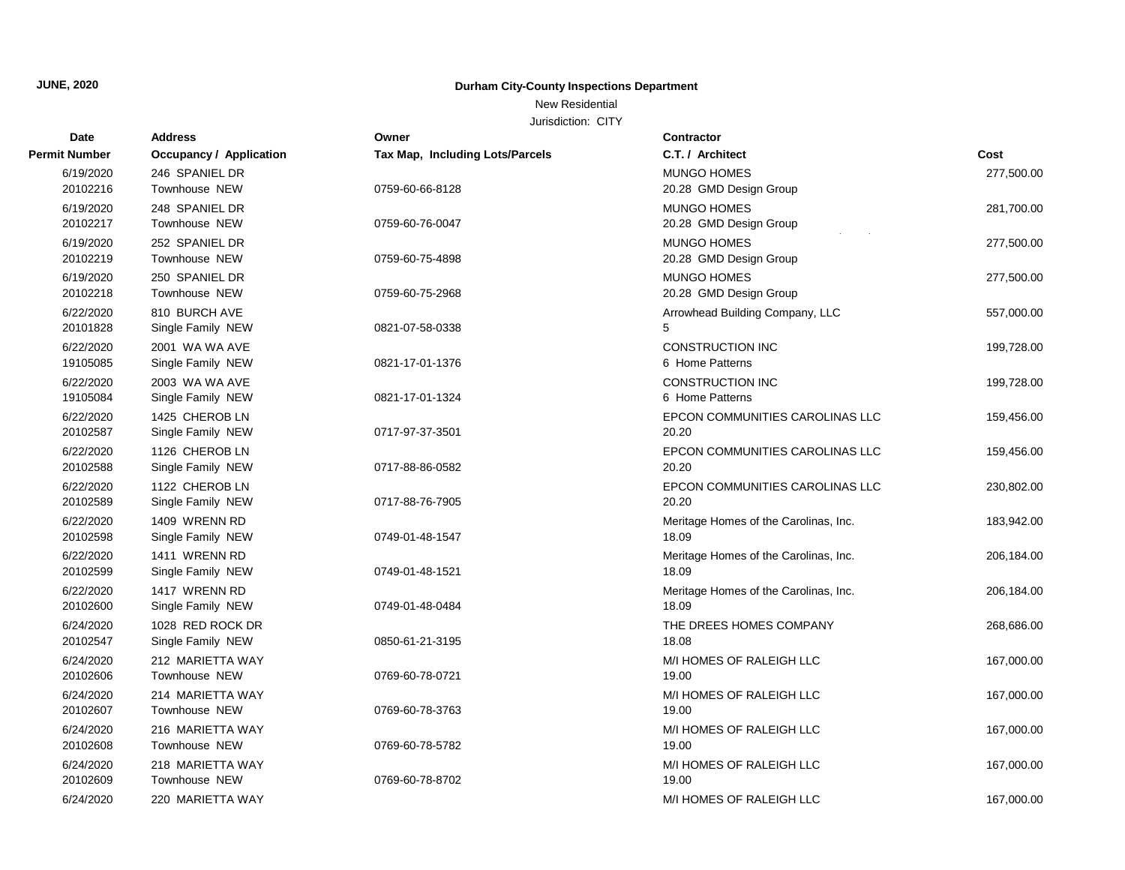New Residential

| Date                  | <b>Address</b>                           | Owner                           | Contractor                                     |            |
|-----------------------|------------------------------------------|---------------------------------|------------------------------------------------|------------|
| <b>Permit Number</b>  | <b>Occupancy / Application</b>           | Tax Map, Including Lots/Parcels | C.T. / Architect                               | Cost       |
| 6/19/2020<br>20102216 | 246 SPANIEL DR<br>Townhouse NEW          | 0759-60-66-8128                 | <b>MUNGO HOMES</b><br>20.28 GMD Design Group   | 277,500.00 |
| 6/19/2020<br>20102217 | 248 SPANIEL DR<br>Townhouse NEW          | 0759-60-76-0047                 | <b>MUNGO HOMES</b><br>20.28 GMD Design Group   | 281,700.00 |
| 6/19/2020<br>20102219 | 252 SPANIEL DR<br>Townhouse NEW          | 0759-60-75-4898                 | <b>MUNGO HOMES</b><br>20.28 GMD Design Group   | 277,500.00 |
| 6/19/2020<br>20102218 | 250 SPANIEL DR<br>Townhouse NEW          | 0759-60-75-2968                 | <b>MUNGO HOMES</b><br>20.28 GMD Design Group   | 277,500.00 |
| 6/22/2020<br>20101828 | 810 BURCH AVE<br>Single Family NEW       | 0821-07-58-0338                 | Arrowhead Building Company, LLC<br>5           | 557,000.00 |
| 6/22/2020<br>19105085 | 2001 WA WA AVE<br>Single Family NEW      | 0821-17-01-1376                 | CONSTRUCTION INC<br>6 Home Patterns            | 199,728.00 |
| 6/22/2020<br>19105084 | 2003 WA WA AVE<br>Single Family NEW      | 0821-17-01-1324                 | <b>CONSTRUCTION INC</b><br>6 Home Patterns     | 199,728.00 |
| 6/22/2020<br>20102587 | 1425 CHEROB LN<br>Single Family NEW      | 0717-97-37-3501                 | EPCON COMMUNITIES CAROLINAS LLC<br>20.20       | 159,456.00 |
| 6/22/2020<br>20102588 | 1126 CHEROB LN<br>Single Family NEW      | 0717-88-86-0582                 | EPCON COMMUNITIES CAROLINAS LLC<br>20.20       | 159,456.00 |
| 6/22/2020<br>20102589 | 1122 CHEROB LN<br>Single Family NEW      | 0717-88-76-7905                 | EPCON COMMUNITIES CAROLINAS LLC<br>20.20       | 230,802.00 |
| 6/22/2020<br>20102598 | 1409 WRENN RD<br>Single Family NEW       | 0749-01-48-1547                 | Meritage Homes of the Carolinas, Inc.<br>18.09 | 183,942.00 |
| 6/22/2020<br>20102599 | 1411 WRENN RD<br>Single Family NEW       | 0749-01-48-1521                 | Meritage Homes of the Carolinas, Inc.<br>18.09 | 206,184.00 |
| 6/22/2020<br>20102600 | 1417 WRENN RD<br>Single Family NEW       | 0749-01-48-0484                 | Meritage Homes of the Carolinas, Inc.<br>18.09 | 206,184.00 |
| 6/24/2020<br>20102547 | 1028 RED ROCK DR<br>Single Family NEW    | 0850-61-21-3195                 | THE DREES HOMES COMPANY<br>18.08               | 268,686.00 |
| 6/24/2020<br>20102606 | 212 MARIETTA WAY<br><b>Townhouse NEW</b> | 0769-60-78-0721                 | M/I HOMES OF RALEIGH LLC<br>19.00              | 167,000.00 |
| 6/24/2020<br>20102607 | 214 MARIETTA WAY<br>Townhouse NEW        | 0769-60-78-3763                 | M/I HOMES OF RALEIGH LLC<br>19.00              | 167,000.00 |
| 6/24/2020<br>20102608 | 216 MARIETTA WAY<br>Townhouse NEW        | 0769-60-78-5782                 | M/I HOMES OF RALEIGH LLC<br>19.00              | 167,000.00 |
| 6/24/2020<br>20102609 | 218 MARIETTA WAY<br>Townhouse NEW        | 0769-60-78-8702                 | M/I HOMES OF RALEIGH LLC<br>19.00              | 167,000.00 |
| 6/24/2020             | 220 MARIETTA WAY                         |                                 | M/I HOMES OF RALEIGH LLC                       | 167,000.00 |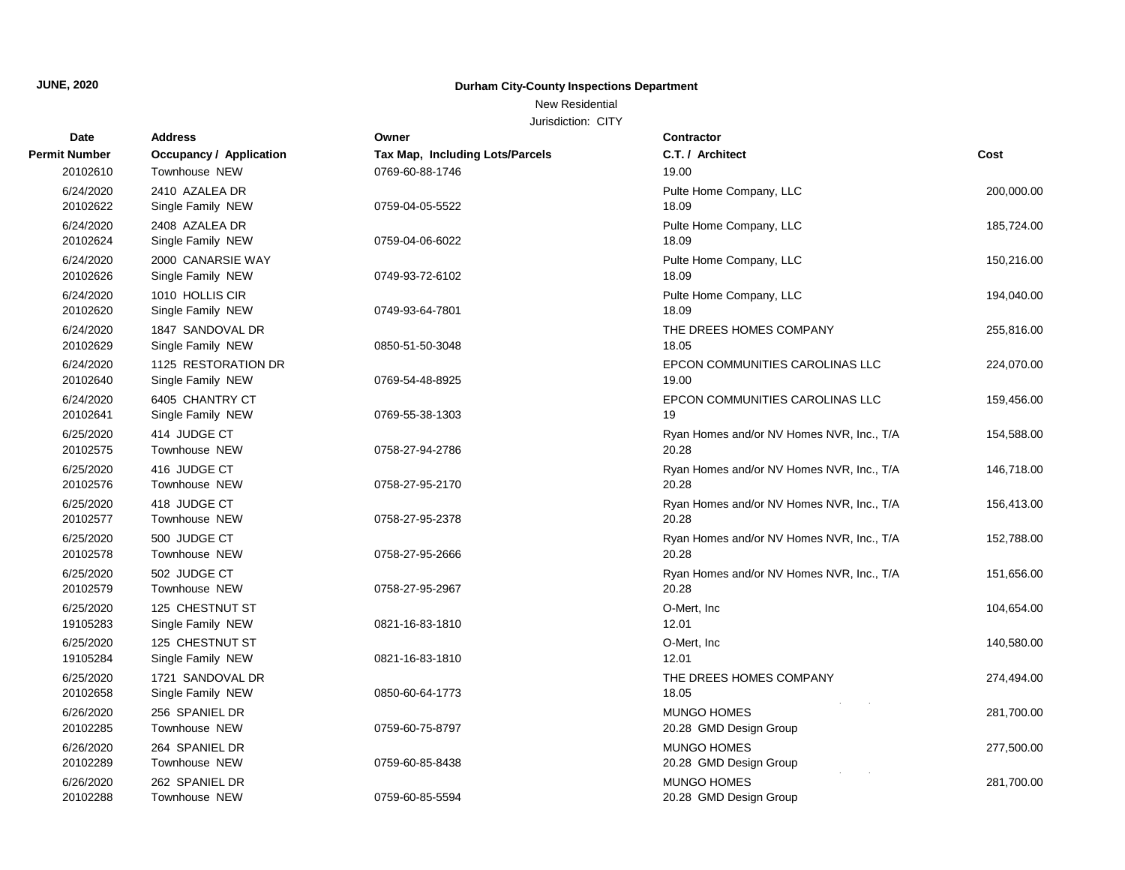#### New Residential

| Date                  | <b>Address</b>                           | Owner                                  | Contractor                                         |            |
|-----------------------|------------------------------------------|----------------------------------------|----------------------------------------------------|------------|
| <b>Permit Number</b>  | <b>Occupancy / Application</b>           | <b>Tax Map, Including Lots/Parcels</b> | C.T. / Architect                                   | Cost       |
| 20102610              | Townhouse NEW                            | 0769-60-88-1746                        | 19.00                                              |            |
| 6/24/2020             | 2410 AZALEA DR                           |                                        | Pulte Home Company, LLC                            | 200,000.00 |
| 20102622              | Single Family NEW                        | 0759-04-05-5522                        | 18.09                                              |            |
| 6/24/2020<br>20102624 | 2408 AZALEA DR<br>Single Family NEW      | 0759-04-06-6022                        | Pulte Home Company, LLC<br>18.09                   | 185,724.00 |
| 6/24/2020<br>20102626 | 2000 CANARSIE WAY<br>Single Family NEW   | 0749-93-72-6102                        | Pulte Home Company, LLC<br>18.09                   | 150,216.00 |
| 6/24/2020<br>20102620 | 1010 HOLLIS CIR<br>Single Family NEW     | 0749-93-64-7801                        | Pulte Home Company, LLC<br>18.09                   | 194,040.00 |
| 6/24/2020<br>20102629 | 1847 SANDOVAL DR<br>Single Family NEW    | 0850-51-50-3048                        | THE DREES HOMES COMPANY<br>18.05                   | 255,816.00 |
| 6/24/2020<br>20102640 | 1125 RESTORATION DR<br>Single Family NEW | 0769-54-48-8925                        | EPCON COMMUNITIES CAROLINAS LLC<br>19.00           | 224,070.00 |
| 6/24/2020<br>20102641 | 6405 CHANTRY CT<br>Single Family NEW     | 0769-55-38-1303                        | EPCON COMMUNITIES CAROLINAS LLC<br>19              | 159,456.00 |
| 6/25/2020<br>20102575 | 414 JUDGE CT<br>Townhouse NEW            | 0758-27-94-2786                        | Ryan Homes and/or NV Homes NVR, Inc., T/A<br>20.28 | 154,588.00 |
| 6/25/2020<br>20102576 | 416 JUDGE CT<br>Townhouse NEW            | 0758-27-95-2170                        | Ryan Homes and/or NV Homes NVR, Inc., T/A<br>20.28 | 146,718.00 |
| 6/25/2020<br>20102577 | 418 JUDGE CT<br>Townhouse NEW            | 0758-27-95-2378                        | Ryan Homes and/or NV Homes NVR, Inc., T/A<br>20.28 | 156,413.00 |
| 6/25/2020<br>20102578 | 500 JUDGE CT<br><b>Townhouse NEW</b>     | 0758-27-95-2666                        | Ryan Homes and/or NV Homes NVR, Inc., T/A<br>20.28 | 152,788.00 |
| 6/25/2020<br>20102579 | 502 JUDGE CT<br>Townhouse NEW            | 0758-27-95-2967                        | Ryan Homes and/or NV Homes NVR, Inc., T/A<br>20.28 | 151,656.00 |
| 6/25/2020<br>19105283 | 125 CHESTNUT ST<br>Single Family NEW     | 0821-16-83-1810                        | O-Mert, Inc.<br>12.01                              | 104,654.00 |
| 6/25/2020<br>19105284 | 125 CHESTNUT ST<br>Single Family NEW     | 0821-16-83-1810                        | O-Mert, Inc.<br>12.01                              | 140,580.00 |
| 6/25/2020<br>20102658 | 1721 SANDOVAL DR<br>Single Family NEW    | 0850-60-64-1773                        | THE DREES HOMES COMPANY<br>18.05                   | 274,494.00 |
| 6/26/2020<br>20102285 | 256 SPANIEL DR<br>Townhouse NEW          | 0759-60-75-8797                        | <b>MUNGO HOMES</b><br>20.28 GMD Design Group       | 281,700.00 |
| 6/26/2020<br>20102289 | 264 SPANIEL DR<br>Townhouse NEW          | 0759-60-85-8438                        | <b>MUNGO HOMES</b><br>20.28 GMD Design Group       | 277,500.00 |
| 6/26/2020<br>20102288 | 262 SPANIEL DR<br>Townhouse NEW          | 0759-60-85-5594                        | MUNGO HOMES<br>20.28 GMD Design Group              | 281,700.00 |